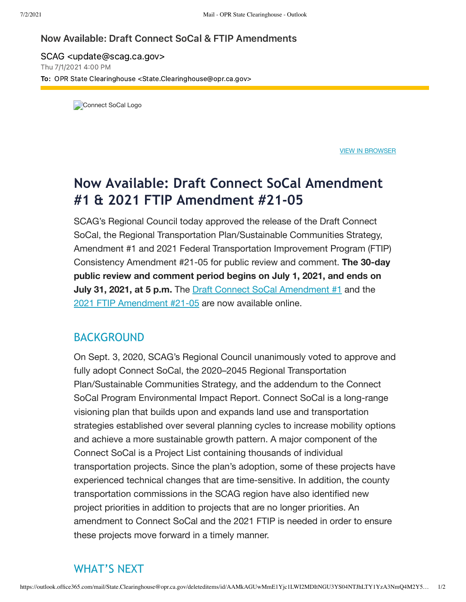## Now Available: Draft Connect SoCal & FTIP Amendments

SCAG <update@scag.ca.gov> Thu 7/1/2021 4:00 PM To: OPR State Clearinghouse <State.Clearinghouse@opr.ca.gov>

Connect SoCal Logo

VIEW IN [BROWSER](https://mailchi.mp/scag/connect-socal?e=fcd0b676fe)

## **Now Available: Draft Connect SoCal Amendment #1 & 2021 FTIP Amendment #21-05**

SCAG's Regional Council today approved the release of the Draft Connect SoCal, the Regional Transportation Plan/Sustainable Communities Strategy, Amendment #1 and 2021 Federal Transportation Improvement Program (FTIP) Consistency Amendment #21-05 for public review and comment. **The 30-day public review and comment period begins on July 1, 2021, and ends on July 31, 2021, at 5 p.m.** The Draft Connect SoCal [Amendment](https://scag.us2.list-manage.com/track/click?u=6d9ce5b9d2344154fc34fcc09&id=ec67f05c8b&e=fcd0b676fe) #1 and the 2021 FTIP [Amendment](https://scag.us2.list-manage.com/track/click?u=6d9ce5b9d2344154fc34fcc09&id=bc574245d6&e=fcd0b676fe) #21-05 are now available online.

## BACKGROUND

On Sept. 3, 2020, SCAG's Regional Council unanimously voted to approve and fully adopt Connect SoCal, the 2020–2045 Regional Transportation Plan/Sustainable Communities Strategy, and the addendum to the Connect SoCal Program Environmental Impact Report. Connect SoCal is a long-range visioning plan that builds upon and expands land use and transportation strategies established over several planning cycles to increase mobility options and achieve a more sustainable growth pattern. A major component of the Connect SoCal is a Project List containing thousands of individual transportation projects. Since the plan's adoption, some of these projects have experienced technical changes that are time-sensitive. In addition, the county transportation commissions in the SCAG region have also identified new project priorities in addition to projects that are no longer priorities. An amendment to Connect SoCal and the 2021 FTIP is needed in order to ensure these projects move forward in a timely manner.

## WHAT'S NEXT